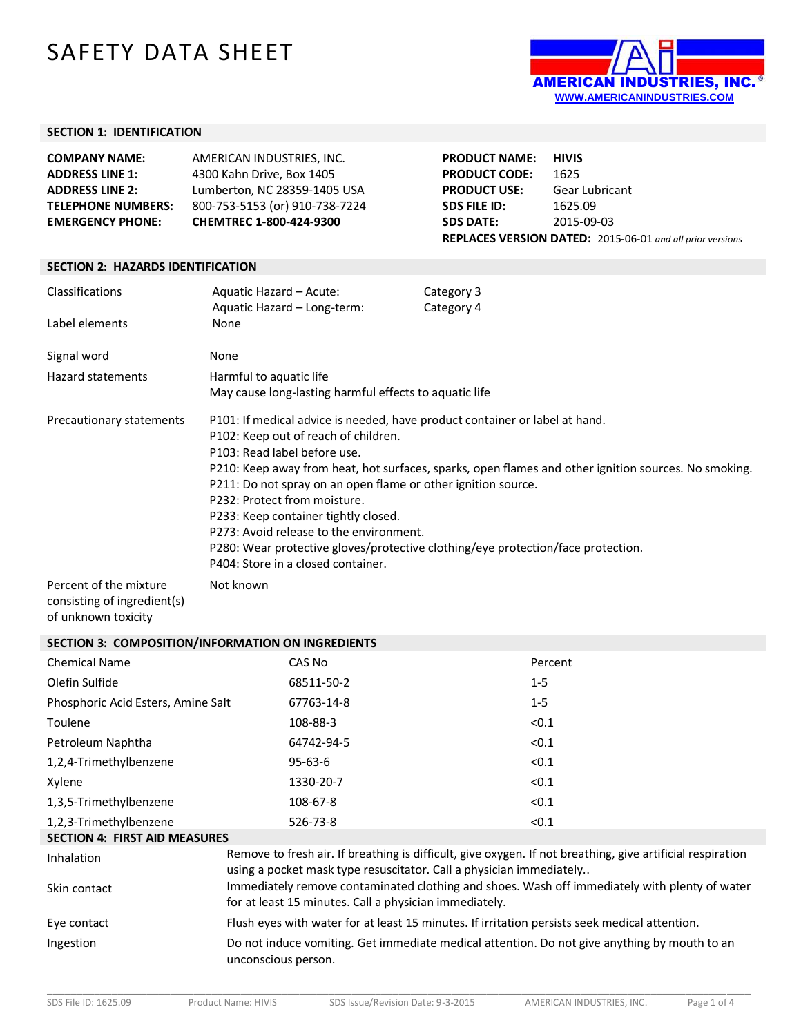# SAFETY DATA SHEET



#### **SECTION 1: IDENTIFICATION**

| <b>COMPANY NAME:</b>      | AMERICAN INDUSTRIES, INC.      | <b>PRODUCT NAME:</b> | <b>HIVIS</b>                                                     |
|---------------------------|--------------------------------|----------------------|------------------------------------------------------------------|
| <b>ADDRESS LINE 1:</b>    | 4300 Kahn Drive, Box 1405      | <b>PRODUCT CODE:</b> | 1625                                                             |
| <b>ADDRESS LINE 2:</b>    | Lumberton, NC 28359-1405 USA   | <b>PRODUCT USE:</b>  | Gear Lubricant                                                   |
| <b>TELEPHONE NUMBERS:</b> | 800-753-5153 (or) 910-738-7224 | SDS FILE ID:         | 1625.09                                                          |
| <b>EMERGENCY PHONE:</b>   | <b>CHEMTREC 1-800-424-9300</b> | <b>SDS DATE:</b>     | 2015-09-03                                                       |
|                           |                                |                      | <b>REPLACES VERSION DATED:</b> 2015-06-01 and all prior versions |

#### **SECTION 2: HAZARDS IDENTIFICATION**

| Classifications<br>Label elements                     | Aquatic Hazard – Acute:<br>Aquatic Hazard - Long-term:<br>None                                                                                                                                                                                                                                                                                                                | Category 3<br>Category 4                                                                                                                                                                 |
|-------------------------------------------------------|-------------------------------------------------------------------------------------------------------------------------------------------------------------------------------------------------------------------------------------------------------------------------------------------------------------------------------------------------------------------------------|------------------------------------------------------------------------------------------------------------------------------------------------------------------------------------------|
| Signal word                                           | None                                                                                                                                                                                                                                                                                                                                                                          |                                                                                                                                                                                          |
| Hazard statements                                     | Harmful to aquatic life<br>May cause long-lasting harmful effects to aquatic life                                                                                                                                                                                                                                                                                             |                                                                                                                                                                                          |
| Precautionary statements                              | P101: If medical advice is needed, have product container or label at hand.<br>P102: Keep out of reach of children.<br>P103: Read label before use.<br>P211: Do not spray on an open flame or other ignition source.<br>P232: Protect from moisture.<br>P233: Keep container tightly closed.<br>P273: Avoid release to the environment.<br>P404: Store in a closed container. | P210: Keep away from heat, hot surfaces, sparks, open flames and other ignition sources. No smoking.<br>P280: Wear protective gloves/protective clothing/eye protection/face protection. |
| Percent of the mixture<br>consisting of ingredient(s) | Not known                                                                                                                                                                                                                                                                                                                                                                     |                                                                                                                                                                                          |

of unknown toxicity

### **SECTION 3: COMPOSITION/INFORMATION ON INGREDIENTS**

| <b>Chemical Name</b>                 | CAS No                                                              | Percent                                                                                                    |
|--------------------------------------|---------------------------------------------------------------------|------------------------------------------------------------------------------------------------------------|
| Olefin Sulfide                       | 68511-50-2                                                          | $1 - 5$                                                                                                    |
| Phosphoric Acid Esters, Amine Salt   | 67763-14-8                                                          | $1 - 5$                                                                                                    |
| Toulene                              | 108-88-3                                                            | < 0.1                                                                                                      |
| Petroleum Naphtha                    | 64742-94-5                                                          | < 0.1                                                                                                      |
| 1,2,4-Trimethylbenzene               | $95 - 63 - 6$                                                       | < 0.1                                                                                                      |
| Xylene                               | 1330-20-7                                                           | < 0.1                                                                                                      |
| 1,3,5-Trimethylbenzene               | 108-67-8                                                            | < 0.1                                                                                                      |
| 1,2,3-Trimethylbenzene               | 526-73-8                                                            | < 0.1                                                                                                      |
| <b>SECTION 4: FIRST AID MEASURES</b> |                                                                     |                                                                                                            |
| Inhalation                           | using a pocket mask type resuscitator. Call a physician immediately | Remove to fresh air. If breathing is difficult, give oxygen. If not breathing, give artificial respiration |
| Skin contact                         | for at least 15 minutes. Call a physician immediately.              | Immediately remove contaminated clothing and shoes. Wash off immediately with plenty of water              |
| Eye contact                          |                                                                     | Flush eyes with water for at least 15 minutes. If irritation persists seek medical attention.              |
| Ingestion                            | unconscious person.                                                 | Do not induce vomiting. Get immediate medical attention. Do not give anything by mouth to an               |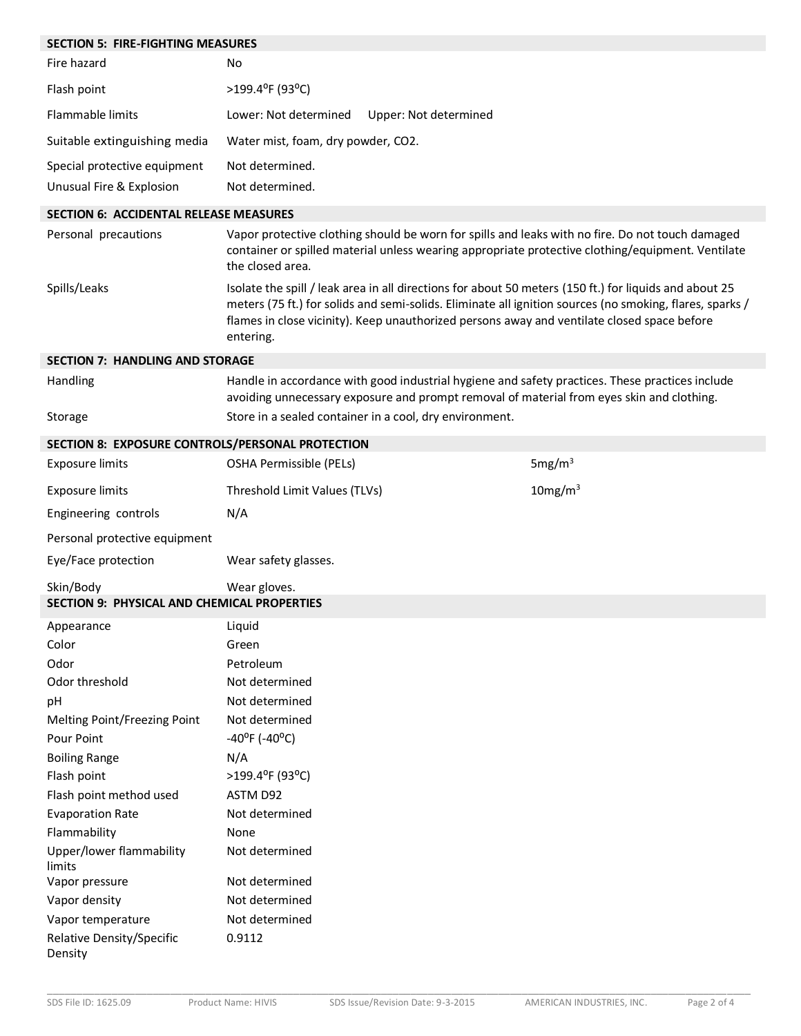| <b>SECTION 5: FIRE-FIGHTING MEASURES</b>           |                                                                                                                                                                                                                                                                                                                                |                     |
|----------------------------------------------------|--------------------------------------------------------------------------------------------------------------------------------------------------------------------------------------------------------------------------------------------------------------------------------------------------------------------------------|---------------------|
| Fire hazard                                        | No                                                                                                                                                                                                                                                                                                                             |                     |
| Flash point                                        | >199.4°F (93°C)                                                                                                                                                                                                                                                                                                                |                     |
| <b>Flammable limits</b>                            | Lower: Not determined<br>Upper: Not determined                                                                                                                                                                                                                                                                                 |                     |
| Suitable extinguishing media                       | Water mist, foam, dry powder, CO2.                                                                                                                                                                                                                                                                                             |                     |
| Special protective equipment                       | Not determined.                                                                                                                                                                                                                                                                                                                |                     |
| Unusual Fire & Explosion                           | Not determined.                                                                                                                                                                                                                                                                                                                |                     |
| <b>SECTION 6: ACCIDENTAL RELEASE MEASURES</b>      |                                                                                                                                                                                                                                                                                                                                |                     |
| Personal precautions                               | Vapor protective clothing should be worn for spills and leaks with no fire. Do not touch damaged<br>container or spilled material unless wearing appropriate protective clothing/equipment. Ventilate<br>the closed area.                                                                                                      |                     |
| Spills/Leaks                                       | Isolate the spill / leak area in all directions for about 50 meters (150 ft.) for liquids and about 25<br>meters (75 ft.) for solids and semi-solids. Eliminate all ignition sources (no smoking, flares, sparks /<br>flames in close vicinity). Keep unauthorized persons away and ventilate closed space before<br>entering. |                     |
| <b>SECTION 7: HANDLING AND STORAGE</b>             |                                                                                                                                                                                                                                                                                                                                |                     |
| Handling                                           | Handle in accordance with good industrial hygiene and safety practices. These practices include<br>avoiding unnecessary exposure and prompt removal of material from eyes skin and clothing.                                                                                                                                   |                     |
| Storage                                            | Store in a sealed container in a cool, dry environment.                                                                                                                                                                                                                                                                        |                     |
| SECTION 8: EXPOSURE CONTROLS/PERSONAL PROTECTION   |                                                                                                                                                                                                                                                                                                                                |                     |
| <b>Exposure limits</b>                             | OSHA Permissible (PELs)                                                                                                                                                                                                                                                                                                        | 5mg/m <sup>3</sup>  |
| <b>Exposure limits</b>                             | Threshold Limit Values (TLVs)                                                                                                                                                                                                                                                                                                  | 10mg/m <sup>3</sup> |
| Engineering controls                               | N/A                                                                                                                                                                                                                                                                                                                            |                     |
| Personal protective equipment                      |                                                                                                                                                                                                                                                                                                                                |                     |
| Eye/Face protection                                | Wear safety glasses.                                                                                                                                                                                                                                                                                                           |                     |
| Skin/Body                                          | Wear gloves.                                                                                                                                                                                                                                                                                                                   |                     |
| <b>SECTION 9: PHYSICAL AND CHEMICAL PROPERTIES</b> |                                                                                                                                                                                                                                                                                                                                |                     |
| Appearance                                         | Liquid                                                                                                                                                                                                                                                                                                                         |                     |
| Color                                              | Green                                                                                                                                                                                                                                                                                                                          |                     |
| Odor                                               | Petroleum                                                                                                                                                                                                                                                                                                                      |                     |
| Odor threshold                                     | Not determined                                                                                                                                                                                                                                                                                                                 |                     |
| pH                                                 | Not determined                                                                                                                                                                                                                                                                                                                 |                     |
| Melting Point/Freezing Point                       | Not determined                                                                                                                                                                                                                                                                                                                 |                     |
| Pour Point                                         | $-40^{\circ}$ F ( $-40^{\circ}$ C)                                                                                                                                                                                                                                                                                             |                     |
| <b>Boiling Range</b>                               | N/A                                                                                                                                                                                                                                                                                                                            |                     |
| Flash point                                        | >199.4°F (93°C)                                                                                                                                                                                                                                                                                                                |                     |
| Flash point method used                            | ASTM D92                                                                                                                                                                                                                                                                                                                       |                     |
| <b>Evaporation Rate</b>                            | Not determined                                                                                                                                                                                                                                                                                                                 |                     |
| Flammability                                       | None                                                                                                                                                                                                                                                                                                                           |                     |
| Upper/lower flammability<br>limits                 | Not determined                                                                                                                                                                                                                                                                                                                 |                     |
| Vapor pressure                                     | Not determined                                                                                                                                                                                                                                                                                                                 |                     |
| Vapor density                                      | Not determined                                                                                                                                                                                                                                                                                                                 |                     |
| Vapor temperature                                  | Not determined                                                                                                                                                                                                                                                                                                                 |                     |
| Relative Density/Specific<br>Density               | 0.9112                                                                                                                                                                                                                                                                                                                         |                     |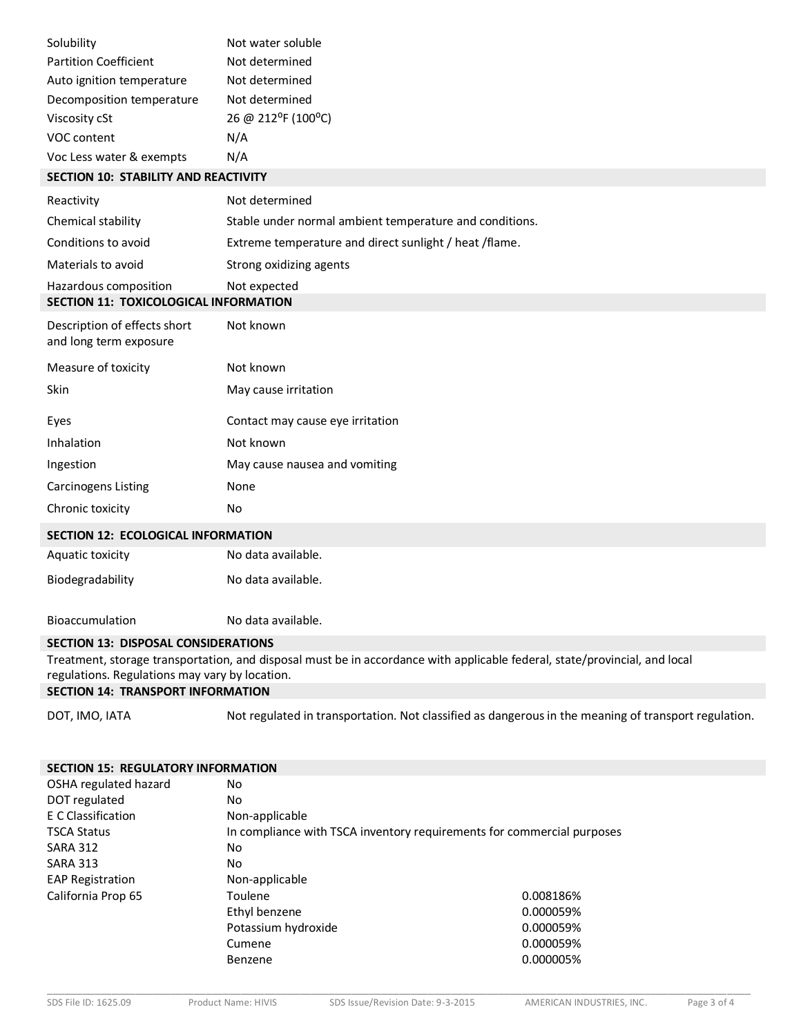| Solubility                                  | Not water soluble  |
|---------------------------------------------|--------------------|
| <b>Partition Coefficient</b>                | Not determined     |
| Auto ignition temperature                   | Not determined     |
| Decomposition temperature                   | Not determined     |
| Viscosity cSt                               | 26 @ 212°F (100°C) |
| VOC content                                 | N/A                |
| Voc Less water & exempts                    | N/A                |
| <b>SECTION 10: STABILITY AND REACTIVITY</b> |                    |
| Reactivity                                  | Not determined     |

| Chemical stability                                             | Stable under normal ambient temperature and conditions. |
|----------------------------------------------------------------|---------------------------------------------------------|
| Conditions to avoid                                            | Extreme temperature and direct sunlight / heat / flame. |
| Materials to avoid                                             | Strong oxidizing agents                                 |
| Hazardous composition<br>SECTION 11: TOXICOLOGICAL INFORMATION | Not expected                                            |
| Description of effects short<br>and long term exposure         | Not known                                               |
| Measure of toxicity                                            | Not known                                               |
| Skin                                                           | May cause irritation                                    |
| Eyes                                                           | Contact may cause eye irritation                        |
| Inhalation                                                     | Not known                                               |
| Ingestion                                                      | May cause nausea and vomiting                           |
| <b>Carcinogens Listing</b>                                     | None                                                    |
| Chronic toxicity                                               | No                                                      |
| <b>SECTION 12: ECOLOGICAL INFORMATION</b>                      |                                                         |
| Aquatic toxicity                                               | No data available.                                      |

Bioaccumulation No data available.

## **SECTION 13: DISPOSAL CONSIDERATIONS**

Biodegradability No data available.

Treatment, storage transportation, and disposal must be in accordance with applicable federal, state/provincial, and local regulations. Regulations may vary by location.

## **SECTION 14: TRANSPORT INFORMATION**

DOT, IMO, IATA Not regulated in transportation. Not classified as dangerous in the meaning of transport regulation.

| <b>SECTION 15: REGULATORY INFORMATION</b> |                                                                        |           |
|-------------------------------------------|------------------------------------------------------------------------|-----------|
| OSHA regulated hazard                     | No                                                                     |           |
| DOT regulated                             | No                                                                     |           |
| E C Classification                        | Non-applicable                                                         |           |
| <b>TSCA Status</b>                        | In compliance with TSCA inventory requirements for commercial purposes |           |
| <b>SARA 312</b>                           | No                                                                     |           |
| <b>SARA 313</b>                           | No                                                                     |           |
| <b>EAP Registration</b>                   | Non-applicable                                                         |           |
| California Prop 65                        | Toulene                                                                | 0.008186% |
|                                           | Ethyl benzene                                                          | 0.000059% |
|                                           | Potassium hydroxide                                                    | 0.000059% |
|                                           | Cumene                                                                 | 0.000059% |
|                                           | Benzene                                                                | 0.000005% |